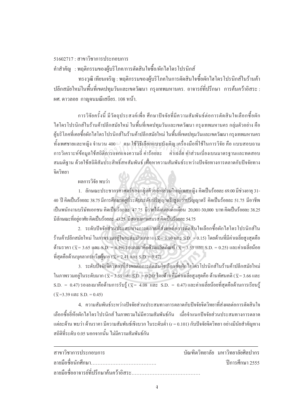## $51602717 \cdot \pi$ าขาวิชาการประกอบการ

้คำสำคัญ : พฤติกรรมของผ้บริโภค/การตัดสินใจซื้อ/ผักใฮโครโปรนิกส์

ทรงวุฒิ เทียนเจริญ : พฤติกรรมของผู้บริโภคในการตัดสินใจซื้อผักใฮโครโปรนิกส์ในร้านค้า ้ ปลีกสมัยใหม่ในพื้นที่เขตปทุมวันและเขตวัฒนา กรุงเทพมหานคร. อาจารย์ที่ปรึกษา การค้นคว้าอิสระ : ผศ. คาวลอย กาณจนมณีเสถียร. 108 หน้า.

การวิจัยครั้งนี้ มีวัตถุประสงค์เพื่อ ศึกษาปัจจัยที่มีความสัมพันธ์ต่อการตัดสินใจเลือกซื้อผัก ´Ê ºÊ ไฮโครโปรนิกส์ในร้านค้าปลีกสมัยใหม่ ในพื้นที่เขตปทุมวันและเขตวัฒนา กรุงเทพมหานคร กลุ่มตัวอย่าง คือ ผู้บริโภคที่เคยซื้อผักไฮโครโปรนิกส์ในร้านค้าปลีกสมัยใหม่ ในพื้นที่เขตปทุมวันและเขตวัฒนา กรุงเทพมหานคร ºÊ ทั้งเพศชายและหญิง จำนวน 400 ৺ คน ใช้วิธีเลือกแบบบังเอิญ เครื่องมือที่ใช้ในการวิจัย คือ แบบสอบถาม ´Ê การวิเคราะห์ข้อมูลใช้สถิติการแจกแจงความถี่ ค่าร้อยละ ค่าเฉลี่ย ค่าส่วนเบี่ยงเบนมาตรฐานและทดสอบ สมมติฐาน ค้วยใช้สถิติสัมประสิทธิ์สหสัมพันธ์ เพื่อหาความสัมพันธ์ระหว่างปัจจัยทางการตลาดกับปัจจัยทาง ·Í ºÉ จิตวิทยา วน 400 – คน ใช้วิธีเลือกแบบบังเอิญ เครื่องว์<br>|ติการแจกแจงความถี่ ค่าร้อยละ<br>|- ค่าเฉลี่ย ค่า

## ผลการวิจัย พบว่า

1. ถักษณะประชากรศาสตร์ของกลุ่มตัวอย่างส่วนใหญ่เพศหญิง คิดเป็นร้อยละ 69.00 มีช่วงอายุ 31-40 ปี คิดเป็นร้อยละ 38.75 มีการศึกษาอยู่ที่ระดับระดับปริญญาตรี/สูงกว่าปริญญาตรี คิดเป็นร้อยละ 51.75 มีอาชีพ ้เป็นพนักงานบริษัทเอกชน คิดเป็นร้อยละ 47.75 มีรายใด้ตนเองต่อเดือน 20,001-30,000 บาท คิดเป็นร้อยละ 38.25 · มีลักษณะที่อยู่อาศัย กิดเป็นร้อยละ 43.25 มีสถานภาพสมรส กิดเป็นร้อยละ 54.75 ∫

2. ระดับปัจจัยส่วนประสมทางการตลาดที่ส่งผลต่อการตัดสินใจเลือกซื้อผักใฮโครโปรนิกส์ใน ºÊ ร้านค้าปลีกสมัยใหม่ ในภาพรวมอยู่ในระดับปานกลาง ( $\overline{\mathbf{x}}$ = 3.10 และ S.D. = 0.15) โดยค้านที่มีค่าเฉลี่ยสูงสุดคือ ค้านราคา ( $\overline{\mathrm{x}}$ = 3.65 และ S.D. = 0.49) รองถงมาคือค้านผลิตภัณฑ์ ( $\overline{\mathrm{x}}$ = 3.53 และ S.D. = 0.25) และค่าเฉลี่ยน้อย ∫ ที่สุดคือด้านบุคลากรหรือผู้บาย ( $\overline{\chi}$  = 2.41 และ S.D. = 0.47)

3. ระดับปัจจัยจิตวิทยาที่ส่งผลต่อการตัดสินใจเลือกซื้อผักไฮโครโปรนิกส์ในร้านค้าปลีกสมัยใหม่ ºÊ ในภาพรวมอยู่ในระดับมาก ( $\overline{\mathrm{x}}$ = 3.59 และ S.D. = 0.26) โดยด้านที่มีค่าเฉลี่ยสูงสุดคือ ด้านทัศนคติ ( $\overline{\mathrm{x}}$ = 3.66 และ ∫  $\rm S.D.~=~0.47$ ) รองลงมาคือด้านการรับรู้ ( $\rm \overline{\overline{x}}=~4.08$  และ  $\rm S.D.~=~0.47$ ) และค่าเฉลี่ยน้อยที่สุดคือด้านการเรียนรู้ │  $(\bar{x} = 3.39 \text{ that } S.D. = 0.45)$ 

4. ความสัมพันธ์ระหว่างปัจจัยส่วนประสมทางการตลาดกับปัจจัยจิตวิทยาที่ส่งผลต่อการตัดสินใจ เลือกซื้อขี่ห้อผักไฮโครโปรนิกส์ ในภาพรวมใม่มีความสัมพันธ์กัน เมื่อจำแนกปัจจัยส่วนประสมทางการตลาด ºÊ แต่ละด้าน พบว่า ด้านราคา มีความสัมพันธ์เชิงบวก ในระดับต่ำ (r = 0.101) กับปัจจัยจิตวิทยา อย่างมีนัยสำคัญทาง ิสถิติที่ระดับ 0.05 นอกจากนั้น ไม่มีความสัมพันธ์กัน

| สาขาวิชาการประกอบการ | ้ บัณฑิตวิทยาลัย มหาวิทยาลัยศิลปากร |
|----------------------|-------------------------------------|
|                      | ปีการศึกษา 2555                     |
|                      |                                     |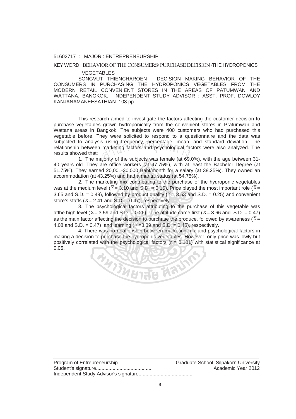#### 51602717 : MAJOR : ENTREPRENEURSHIP

### KEY WORD : BEHAVIOR OF THE CONSUMERS/ PURCHASE DECISION /THE HYDROPONICS

#### VEGETABLES

SONGVUT THIENCHAROEN : DECISION MAKING BEHAVIOR OF THE CONSUMERS IN PURCHASING THE HYDROPONICS VEGETABLES FROM THE MODERN RETAIL CONVENIENT STORES IN THE AREAS OF PATUMWAN AND WATTANA, BANGKOK. INDEPENDENT STUDY ADVISOR : ASST. PROF. DOWLOY KANJANAMANEESATHIAN. 108 pp.

This research aimed to investigate the factors affecting the customer decision to purchase vegetables grown hydroponically from the convenient stores in Pratumwan and Wattana areas in Bangkok. The subjects were 400 customers who had purchased this vegetable before. They were solicited to respond to a questionnaire and the data was subjected to analysis using frequency, percentage, mean, and standard deviation. The relationship between marketing factors and psychological factors were also analyzed. The results showed that: s using frequency, percentage, mean,<br>marketing factors and psychological fa<br>aiority of the subiects was female (at 69

1. The majority of the subjects was female (at 69.0%), with the age between 31- 40 years old. They are office workers (at 47.75%), with at least the Bachelor Degree (at 51.75%). They earned 20,001-30,000 Baht/month for a salary (at 38.25%). They owned an accommodation (at 43.25%) and had a marital status (at 54.75%).

2. The marketing mix contributing to the purchase of the hydroponic vegetables was at the medium level ( $\bar{x}$  = 3.10 and S.D. = 0.15). Price played the most important role ( $\bar{x}$  = 3.65 and S.D. = 0.49), followed by product quality ( $\overline{X}$  = 3.53 and S.D. = 0.25) and convenient store's staffs ( $\bar{x}$  = 2.41 and S.D. = 0.47), respectively.

3. The psychological factors attributing to the purchase of this vegetable was atthe high level ( $\bar{x}$  = 3.59 and S.D. = 0.26). The attitude came first ( $\bar{x}$  = 3.66 and S.D. = 0.47) as the main factor affecting the decision to purchase the produce, followed by awareness ( $\bar{x}$  = 4.08 and S.D. = 0.47) and learning ( $\bar{x}$  = 3.39 and S.D. = 0.45), respectively.

4. There was no relationship between marketing mix and psychological factors in making a decision to purchase the hydroponic vegetables. However, only price was lowly but positively correlated with the psychological factors  $(r = 0.101)$  with statistical significance at 0.05.

**ALACTER HAVID** 

| Program of Entrepreneurship | Graduate School, Silpakorn University |
|-----------------------------|---------------------------------------|
|                             | Academic Year 2012                    |
|                             |                                       |